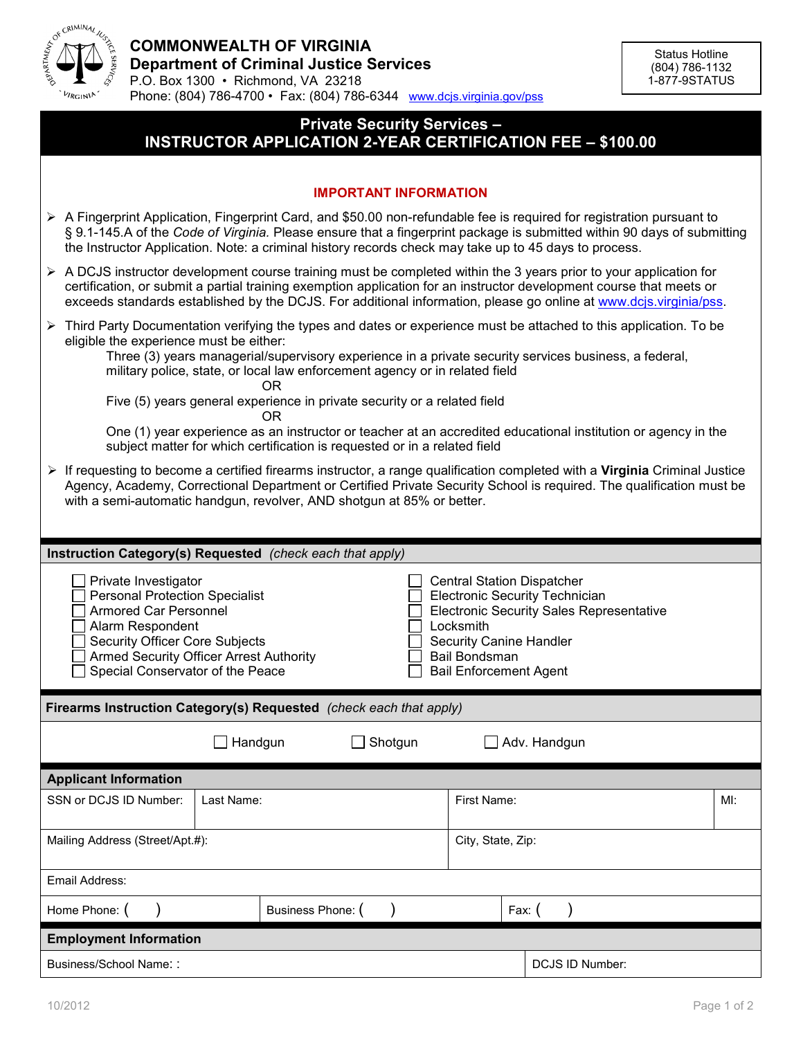

## **Private Security Services – INSTRUCTOR APPLICATION 2-YEAR CERTIFICATION FEE – \$100.00**

| <b>IMPORTANT INFORMATION</b>                                                                                                                                                                                                                                                                                                                                                                                                                                         |  |  |  |                    |                 |  |  |
|----------------------------------------------------------------------------------------------------------------------------------------------------------------------------------------------------------------------------------------------------------------------------------------------------------------------------------------------------------------------------------------------------------------------------------------------------------------------|--|--|--|--------------------|-----------------|--|--|
| A Fingerprint Application, Fingerprint Card, and \$50.00 non-refundable fee is required for registration pursuant to<br>§ 9.1-145.A of the Code of Virginia. Please ensure that a fingerprint package is submitted within 90 days of submitting<br>the Instructor Application. Note: a criminal history records check may take up to 45 days to process.                                                                                                             |  |  |  |                    |                 |  |  |
| $\triangleright$ A DCJS instructor development course training must be completed within the 3 years prior to your application for<br>certification, or submit a partial training exemption application for an instructor development course that meets or<br>exceeds standards established by the DCJS. For additional information, please go online at www.dcjs.virginia/pss.                                                                                       |  |  |  |                    |                 |  |  |
| ► Third Party Documentation verifying the types and dates or experience must be attached to this application. To be<br>eligible the experience must be either:<br>Three (3) years managerial/supervisory experience in a private security services business, a federal,<br>military police, state, or local law enforcement agency or in related field<br>0R                                                                                                         |  |  |  |                    |                 |  |  |
| Five (5) years general experience in private security or a related field<br>0R                                                                                                                                                                                                                                                                                                                                                                                       |  |  |  |                    |                 |  |  |
| One (1) year experience as an instructor or teacher at an accredited educational institution or agency in the<br>subject matter for which certification is requested or in a related field                                                                                                                                                                                                                                                                           |  |  |  |                    |                 |  |  |
| ▶ If requesting to become a certified firearms instructor, a range qualification completed with a Virginia Criminal Justice<br>Agency, Academy, Correctional Department or Certified Private Security School is required. The qualification must be<br>with a semi-automatic handgun, revolver, AND shotgun at 85% or better.                                                                                                                                        |  |  |  |                    |                 |  |  |
| Instruction Category(s) Requested (check each that apply)                                                                                                                                                                                                                                                                                                                                                                                                            |  |  |  |                    |                 |  |  |
| Private Investigator<br><b>Central Station Dispatcher</b><br><b>Personal Protection Specialist</b><br><b>Electronic Security Technician</b><br><b>Electronic Security Sales Representative</b><br>Armored Car Personnel<br>Alarm Respondent<br>Locksmith<br><b>Security Officer Core Subjects</b><br><b>Security Canine Handler</b><br>Armed Security Officer Arrest Authority<br>Bail Bondsman<br>Special Conservator of the Peace<br><b>Bail Enforcement Agent</b> |  |  |  |                    |                 |  |  |
| Firearms Instruction Category(s) Requested (check each that apply)                                                                                                                                                                                                                                                                                                                                                                                                   |  |  |  |                    |                 |  |  |
| Handgun<br>Shotgun<br>Adv. Handgun                                                                                                                                                                                                                                                                                                                                                                                                                                   |  |  |  |                    |                 |  |  |
| <b>Applicant Information</b>                                                                                                                                                                                                                                                                                                                                                                                                                                         |  |  |  |                    |                 |  |  |
| SSN or DCJS ID Number:<br>Last Name:                                                                                                                                                                                                                                                                                                                                                                                                                                 |  |  |  | First Name:<br>MI: |                 |  |  |
| Mailing Address (Street/Apt.#):                                                                                                                                                                                                                                                                                                                                                                                                                                      |  |  |  | City, State, Zip:  |                 |  |  |
| Email Address:                                                                                                                                                                                                                                                                                                                                                                                                                                                       |  |  |  |                    |                 |  |  |
| Business Phone: (<br>Home Phone: (                                                                                                                                                                                                                                                                                                                                                                                                                                   |  |  |  |                    | Fax: $($        |  |  |
| <b>Employment Information</b>                                                                                                                                                                                                                                                                                                                                                                                                                                        |  |  |  |                    |                 |  |  |
| Business/School Name::                                                                                                                                                                                                                                                                                                                                                                                                                                               |  |  |  |                    | DCJS ID Number: |  |  |